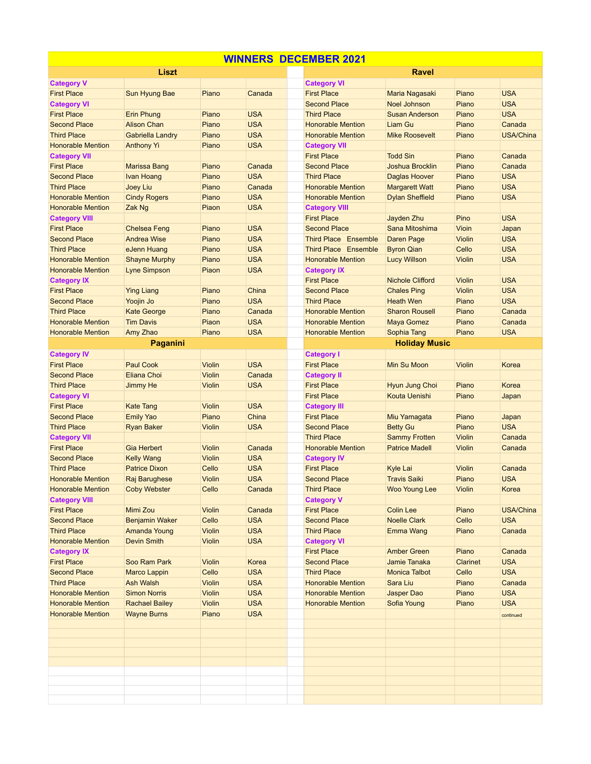| <b>WINNERS DECEMBER 2021</b> |                         |               |            |  |                             |                         |                 |                  |  |  |  |
|------------------------------|-------------------------|---------------|------------|--|-----------------------------|-------------------------|-----------------|------------------|--|--|--|
| Liszt                        |                         |               |            |  | <b>Ravel</b>                |                         |                 |                  |  |  |  |
| <b>Category V</b>            |                         |               |            |  | <b>Category VI</b>          |                         |                 |                  |  |  |  |
| <b>First Place</b>           | Sun Hyung Bae           | Piano         | Canada     |  | <b>First Place</b>          | Maria Nagasaki          | Piano           | <b>USA</b>       |  |  |  |
| <b>Category VI</b>           |                         |               |            |  | <b>Second Place</b>         | <b>Noel Johnson</b>     | Piano           | <b>USA</b>       |  |  |  |
| <b>First Place</b>           | <b>Erin Phung</b>       | Piano         | <b>USA</b> |  | <b>Third Place</b>          | <b>Susan Anderson</b>   | Piano           | <b>USA</b>       |  |  |  |
| <b>Second Place</b>          | <b>Alison Chan</b>      | Piano         | <b>USA</b> |  | <b>Honorable Mention</b>    | Liam Gu                 | Piano           | Canada           |  |  |  |
| <b>Third Place</b>           | <b>Gabriella Landry</b> | Piano         | <b>USA</b> |  | <b>Honorable Mention</b>    | <b>Mike Roosevelt</b>   | Piano           | <b>USA/China</b> |  |  |  |
| <b>Honorable Mention</b>     | <b>Anthony Yi</b>       | Piano         | <b>USA</b> |  | <b>Category VII</b>         |                         |                 |                  |  |  |  |
| <b>Category VII</b>          |                         |               |            |  | <b>First Place</b>          | <b>Todd Sin</b>         | Piano           | Canada           |  |  |  |
| <b>First Place</b>           | <b>Marissa Bang</b>     | Piano         | Canada     |  | <b>Second Place</b>         | <b>Joshua Brocklin</b>  | Piano           | Canada           |  |  |  |
| <b>Second Place</b>          | Ivan Hoang              | Piano         | <b>USA</b> |  | <b>Third Place</b>          | Daglas Hoover           | Piano           | <b>USA</b>       |  |  |  |
| <b>Third Place</b>           | Joey Liu                | Piano         | Canada     |  | <b>Honorable Mention</b>    | <b>Margarett Watt</b>   | Piano           | <b>USA</b>       |  |  |  |
| <b>Honorable Mention</b>     | <b>Cindy Rogers</b>     | Piano         | <b>USA</b> |  | <b>Honorable Mention</b>    | <b>Dylan Sheffield</b>  | Piano           | <b>USA</b>       |  |  |  |
| <b>Honorable Mention</b>     | Zak Ng                  | Piaon         | <b>USA</b> |  | <b>Category VIII</b>        |                         |                 |                  |  |  |  |
| <b>Category VIII</b>         |                         |               |            |  | <b>First Place</b>          | Jayden Zhu              | Pino            | <b>USA</b>       |  |  |  |
| <b>First Place</b>           | <b>Chelsea Feng</b>     | Piano         | <b>USA</b> |  | <b>Second Place</b>         | Sana Mitoshima          | Vioin           | Japan            |  |  |  |
| <b>Second Place</b>          | <b>Andrea Wise</b>      | Piano         | <b>USA</b> |  | <b>Third Place Ensemble</b> | Daren Page              | <b>Violin</b>   | <b>USA</b>       |  |  |  |
| <b>Third Place</b>           | eJenn Huang             | Piano         | <b>USA</b> |  | Third Place Ensemble        | <b>Byron Qian</b>       | Cello           | <b>USA</b>       |  |  |  |
| <b>Honorable Mention</b>     | <b>Shayne Murphy</b>    | Piano         | <b>USA</b> |  | <b>Honorable Mention</b>    | <b>Lucy Willson</b>     | <b>Violin</b>   | <b>USA</b>       |  |  |  |
| <b>Honorable Mention</b>     | <b>Lyne Simpson</b>     | Piaon         | <b>USA</b> |  | <b>Category IX</b>          |                         |                 |                  |  |  |  |
| <b>Category IX</b>           |                         |               |            |  | <b>First Place</b>          | <b>Nichole Clifford</b> | <b>Violin</b>   | <b>USA</b>       |  |  |  |
| <b>First Place</b>           | <b>Ying Liang</b>       | Piano         | China      |  | <b>Second Place</b>         | <b>Chales Ping</b>      | <b>Violin</b>   | <b>USA</b>       |  |  |  |
| <b>Second Place</b>          | Yoojin Jo               | Piano         | <b>USA</b> |  | <b>Third Place</b>          | <b>Heath Wen</b>        | Piano           | <b>USA</b>       |  |  |  |
| <b>Third Place</b>           | <b>Kate George</b>      | Piano         | Canada     |  | <b>Honorable Mention</b>    | <b>Sharon Rousell</b>   | Piano           | Canada           |  |  |  |
| <b>Honorable Mention</b>     | <b>Tim Davis</b>        | Piaon         | <b>USA</b> |  | <b>Honorable Mention</b>    | <b>Maya Gomez</b>       | Piano           | Canada           |  |  |  |
| <b>Honorable Mention</b>     | Amy Zhao                | Piano         | <b>USA</b> |  | <b>Honorable Mention</b>    | Sophia Tang             | Piano           | <b>USA</b>       |  |  |  |
| Paganini                     |                         |               |            |  | <b>Holiday Music</b>        |                         |                 |                  |  |  |  |
| <b>Category IV</b>           |                         |               |            |  | <b>Category I</b>           |                         |                 |                  |  |  |  |
| <b>First Place</b>           | <b>Paul Cook</b>        | Violin        | <b>USA</b> |  | <b>First Place</b>          | Min Su Moon             | <b>Violin</b>   | Korea            |  |  |  |
| <b>Second Place</b>          | Eliana Choi             | <b>Violin</b> | Canada     |  | <b>Category II</b>          |                         |                 |                  |  |  |  |
| <b>Third Place</b>           | Jimmy He                | Violin        | <b>USA</b> |  | <b>First Place</b>          | Hyun Jung Choi          | Piano           | Korea            |  |  |  |
| <b>Category VI</b>           |                         |               |            |  | <b>First Place</b>          | Kouta Uenishi           | Piano           | Japan            |  |  |  |
| <b>First Place</b>           | <b>Kate Tang</b>        | <b>Violin</b> | <b>USA</b> |  | <b>Category III</b>         |                         |                 |                  |  |  |  |
| <b>Second Place</b>          | <b>Emily Yao</b>        | Piano         | China      |  | <b>First Place</b>          | Miu Yamagata            | Piano           | Japan            |  |  |  |
| <b>Third Place</b>           | <b>Ryan Baker</b>       | Violin        | <b>USA</b> |  | <b>Second Place</b>         | <b>Betty Gu</b>         | Piano           | <b>USA</b>       |  |  |  |
| <b>Category VII</b>          |                         |               |            |  | <b>Third Place</b>          | <b>Sammy Frotten</b>    | <b>Violin</b>   | Canada           |  |  |  |
| <b>First Place</b>           | <b>Gia Herbert</b>      | <b>Violin</b> | Canada     |  | <b>Honorable Mention</b>    | <b>Patrice Madell</b>   | <b>Violin</b>   | Canada           |  |  |  |
| <b>Second Place</b>          | <b>Kelly Wang</b>       | <b>Violin</b> | <b>USA</b> |  | <b>Category IV</b>          |                         |                 |                  |  |  |  |
| <b>Third Place</b>           | <b>Patrice Dixon</b>    | Cello         | <b>USA</b> |  | <b>First Place</b>          | Kyle Lai                | <b>Violin</b>   | Canada           |  |  |  |
| <b>Honorable Mention</b>     | Raj Barughese           | Violin        | <b>USA</b> |  | <b>Second Place</b>         | <b>Travis Saiki</b>     | Piano           | <b>USA</b>       |  |  |  |
| <b>Honorable Mention</b>     | <b>Coby Webster</b>     | Cello         | Canada     |  | <b>Third Place</b>          | <b>Woo Young Lee</b>    | <b>Violin</b>   | Korea            |  |  |  |
| <b>Category VIII</b>         |                         |               |            |  | <b>Category V</b>           |                         |                 |                  |  |  |  |
| <b>First Place</b>           | <b>Mimi Zou</b>         | <b>Violin</b> | Canada     |  | <b>First Place</b>          | <b>Colin Lee</b>        | Piano           | <b>USA/China</b> |  |  |  |
| <b>Second Place</b>          | <b>Benjamin Waker</b>   | Cello         | <b>USA</b> |  | <b>Second Place</b>         | <b>Noelle Clark</b>     | Cello           | <b>USA</b>       |  |  |  |
| <b>Third Place</b>           | Amanda Young            | <b>Violin</b> | <b>USA</b> |  | <b>Third Place</b>          | <b>Emma Wang</b>        | Piano           | Canada           |  |  |  |
| <b>Honorable Mention</b>     | <b>Devin Smith</b>      | <b>Violin</b> | <b>USA</b> |  | <b>Category VI</b>          |                         |                 |                  |  |  |  |
| <b>Category IX</b>           |                         |               |            |  | <b>First Place</b>          | <b>Amber Green</b>      | Piano           | Canada           |  |  |  |
| <b>First Place</b>           | Soo Ram Park            | <b>Violin</b> | Korea      |  | <b>Second Place</b>         | Jamie Tanaka            | <b>Clarinet</b> | <b>USA</b>       |  |  |  |
| <b>Second Place</b>          | <b>Marco Lappin</b>     | Cello         | <b>USA</b> |  | <b>Third Place</b>          | <b>Monica Talbot</b>    | Cello           | <b>USA</b>       |  |  |  |
| <b>Third Place</b>           | <b>Ash Walsh</b>        | <b>Violin</b> | <b>USA</b> |  | <b>Honorable Mention</b>    | Sara Liu                | Piano           | Canada           |  |  |  |
| <b>Honorable Mention</b>     | <b>Simon Norris</b>     | <b>Violin</b> | <b>USA</b> |  | <b>Honorable Mention</b>    | <b>Jasper Dao</b>       | Piano           | <b>USA</b>       |  |  |  |
| <b>Honorable Mention</b>     | <b>Rachael Bailey</b>   | <b>Violin</b> | <b>USA</b> |  | <b>Honorable Mention</b>    | Sofia Young             | Piano           | <b>USA</b>       |  |  |  |
| <b>Honorable Mention</b>     | <b>Wayne Burns</b>      | Piano         | <b>USA</b> |  |                             |                         |                 | continued        |  |  |  |
|                              |                         |               |            |  |                             |                         |                 |                  |  |  |  |
|                              |                         |               |            |  |                             |                         |                 |                  |  |  |  |
|                              |                         |               |            |  |                             |                         |                 |                  |  |  |  |
|                              |                         |               |            |  |                             |                         |                 |                  |  |  |  |
|                              |                         |               |            |  |                             |                         |                 |                  |  |  |  |
|                              |                         |               |            |  |                             |                         |                 |                  |  |  |  |
|                              |                         |               |            |  |                             |                         |                 |                  |  |  |  |
|                              |                         |               |            |  |                             |                         |                 |                  |  |  |  |